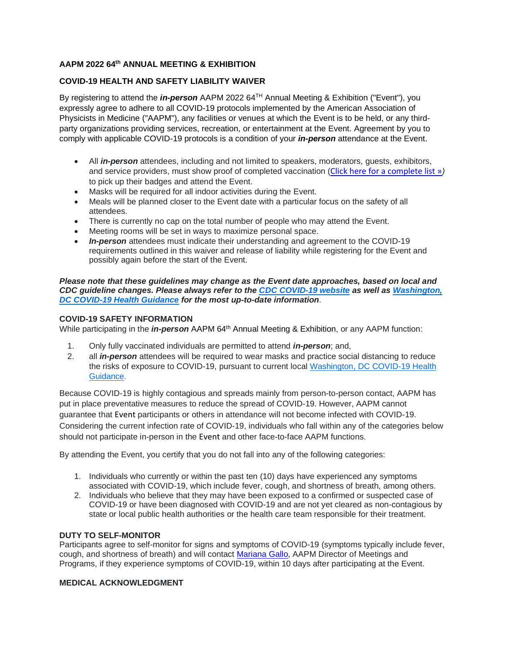# **AAPM 2022 64th ANNUAL MEETING & EXHIBITION**

## **COVID-19 HEALTH AND SAFETY LIABILITY WAIVER**

By registering to attend the *in-person* AAPM 2022 64TH Annual Meeting & Exhibition ("Event"), you expressly agree to adhere to all COVID-19 protocols implemented by the American Association of Physicists in Medicine ("AAPM"), any facilities or venues at which the Event is to be held, or any thirdparty organizations providing services, recreation, or entertainment at the Event. Agreement by you to comply with applicable COVID-19 protocols is a condition of your *in-person* attendance at the Event.

- All *in-person* attendees, including and not limited to speakers, moderators, guests, exhibitors, and service providers, must show proof of completed vaccination ([Click here for a complete list »](https://covid19.trackvaccines.org/agency/who/)*)* to pick up their badges and attend the Event.
- Masks will be required for all indoor activities during the Event.
- Meals will be planned closer to the Event date with a particular focus on the safety of all attendees.
- There is currently no cap on the total number of people who may attend the Event.
- Meeting rooms will be set in ways to maximize personal space.
- *In-person* attendees must indicate their understanding and agreement to the COVID-19 requirements outlined in this waiver and release of liability while registering for the Event and possibly again before the start of the Event.

*Please note that these guidelines may change as the Event date approaches, based on local and CDC guideline changes. Please always refer to the CDC [COVID-19](https://www.cdc.gov/coronavirus/2019-nCoV/index.html) website as well as [Washington,](https://coronavirus.dc.gov/healthguidance) DC [COVID-19](https://coronavirus.dc.gov/healthguidance) Health Guidance for the most up-to-date information*.

### **COVID-19 SAFETY INFORMATION**

While participating in the *in-person* AAPM 64<sup>th</sup> Annual Meeting & Exhibition, or any AAPM function:

- 1. Only fully vaccinated individuals are permitted to attend *in-person*; and,
- 2. all *in-person* attendees will be required to wear masks and practice social distancing to reduce the risks of exposure to COVID-19, pursuant to current local [Washington,](https://coronavirus.dc.gov/healthguidance) DC COVID-19 Health [Guidance.](https://coronavirus.dc.gov/healthguidance)

Because COVID-19 is highly contagious and spreads mainly from person-to-person contact, AAPM has put in place preventative measures to reduce the spread of COVID-19. However, AAPM cannot guarantee that Event participants or others in attendance will not become infected with COVID-19. Considering the current infection rate of COVID-19, individuals who fall within any of the categories below should not participate in-person in the Event and other face-to-face AAPM functions.

By attending the Event, you certify that you do not fall into any of the following categories:

- 1. Individuals who currently or within the past ten (10) days have experienced any symptoms associated with COVID-19, which include fever, cough, and shortness of breath, among others.
- 2. Individuals who believe that they may have been exposed to a confirmed or suspected case of COVID-19 or have been diagnosed with COVID-19 and are not yet cleared as non-contagious by state or local public health authorities or the health care team responsible for their treatment.

### **DUTY TO SELF-MONITOR**

Participants agree to self-monitor for signs and symptoms of COVID-19 (symptoms typically include fever, cough, and shortness of breath) and will contact [Mariana](mailto:mariana@aapm.org) Gallo, AAPM Director of Meetings and Programs, if they experience symptoms of COVID-19, within 10 days after participating at the Event.

### **MEDICAL ACKNOWLEDGMENT**